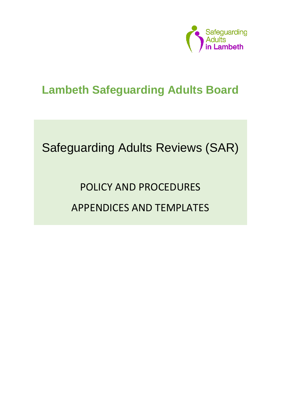

## **Lambeth Safeguarding Adults Board**

# Safeguarding Adults Reviews (SAR)

# POLICY AND PROCEDURES APPENDICES AND TEMPLATES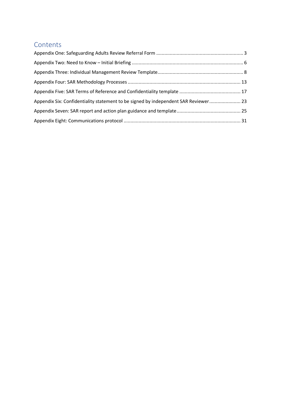## Contents

| Appendix Six: Confidentiality statement to be signed by independent SAR Reviewer 23 |  |
|-------------------------------------------------------------------------------------|--|
|                                                                                     |  |
|                                                                                     |  |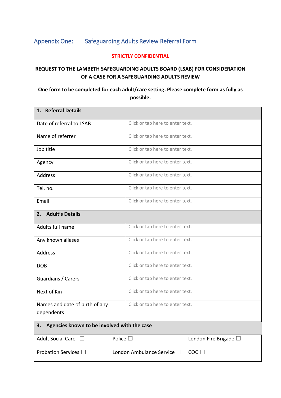## <span id="page-2-0"></span>Appendix One: Safeguarding Adults Review Referral Form

#### **STRICTLY CONFIDENTIAL**

#### **REQUEST TO THE LAMBETH SAFEGUARDING ADULTS BOARD (LSAB) FOR CONSIDERATION OF A CASE FOR A SAFEGUARDING ADULTS REVIEW**

#### **One form to be completed for each adult/care setting. Please complete form as fully as possible.**

| 1. Referral Details                               |                                  |  |  |
|---------------------------------------------------|----------------------------------|--|--|
| Date of referral to LSAB                          | Click or tap here to enter text. |  |  |
| Name of referrer                                  | Click or tap here to enter text. |  |  |
| Job title                                         | Click or tap here to enter text. |  |  |
| Agency                                            | Click or tap here to enter text. |  |  |
| Address                                           | Click or tap here to enter text. |  |  |
| Tel. no.                                          | Click or tap here to enter text. |  |  |
| Email                                             | Click or tap here to enter text. |  |  |
| <b>Adult's Details</b><br>2.                      |                                  |  |  |
| Adults full name                                  | Click or tap here to enter text. |  |  |
| Any known aliases                                 | Click or tap here to enter text. |  |  |
| <b>Address</b>                                    | Click or tap here to enter text. |  |  |
| <b>DOB</b>                                        | Click or tap here to enter text. |  |  |
| Guardians / Carers                                | Click or tap here to enter text. |  |  |
| Next of Kin                                       | Click or tap here to enter text. |  |  |
| Names and date of birth of any<br>dependents      | Click or tap here to enter text. |  |  |
| Agencies known to be involved with the case<br>3. |                                  |  |  |

| <b>Adult Social Care</b>     | Police $\square$                   | London Fire Brigade $\square$                                  |
|------------------------------|------------------------------------|----------------------------------------------------------------|
| Probation Services $\square$ | London Ambulance Service $\square$ | $\mathsf{L}\mathsf{C}\mathsf{O}\mathsf{C}\mathsf{L}\mathsf{L}$ |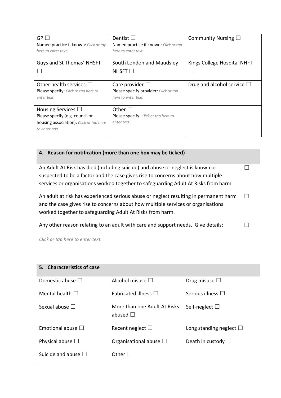| GP<br>Named practice if known: Click or tap<br>here to enter text.                                                      | Dentist $\square$<br>Named practice if known: Click or tap<br>here to enter text.    | Community Nursing $\square$        |
|-------------------------------------------------------------------------------------------------------------------------|--------------------------------------------------------------------------------------|------------------------------------|
| Guys and St Thomas' NHSFT                                                                                               | South London and Maudsley<br>NHSFT $\square$                                         | Kings College Hospital NHFT        |
| Other health services $\square$<br>Please specify: Click or tap here to<br>enter text.                                  | Care provider $\Box$<br>Please specify provider: Click or tap<br>here to enter text. | Drug and alcohol service $\square$ |
| Housing Services $\Box$<br>Please specify (e.g. council or<br>housing association): Click or tap here<br>to enter text. | Other $\square$<br>Please specify: Click or tap here to<br>enter text.               |                                    |

#### **4. Reason for notification (more than one box may be ticked)**

An Adult At Risk has died (including suicide) and abuse or neglect is known or suspected to be a factor and the case gives rise to concerns about how multiple services or organisations worked together to safeguarding Adult At Risks from harm ☐

An adult at risk has experienced serious abuse or neglect resulting in permanent harm and the case gives rise to concerns about how multiple services or organisations worked together to safeguarding Adult At Risks from harm. ☐

Any other reason relating to an adult with care and support needs. Give details:  $\Box$ 

*Click or tap here to enter text.*

| 5. Characteristics of case  |                                               |                                 |
|-----------------------------|-----------------------------------------------|---------------------------------|
| Domestic abuse $\Box$       | Alcohol misuse $\square$                      | Drug misuse $\Box$              |
| Mental health $\square$     | <b>Fabricated illness</b>                     | Serious illness $\square$       |
| Sexual abuse $\square$      | More than one Adult At Risks<br>abused $\Box$ | Self-neglect $\square$          |
| Emotional abuse $\square$   | Recent neglect $\square$                      | Long standing neglect $\square$ |
| Physical abuse $\square$    | Organisational abuse $\square$                | Death in custody $\Box$         |
| Suicide and abuse $\square$ | Other $\square$                               |                                 |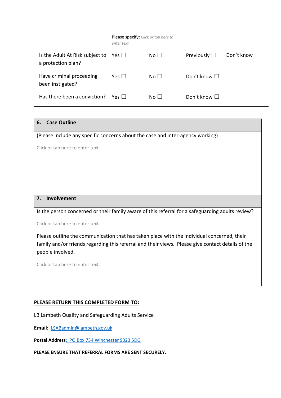|                                                       | <b>Please specify:</b> Click or tap here to<br>enter text. |                 |                      |            |
|-------------------------------------------------------|------------------------------------------------------------|-----------------|----------------------|------------|
| Is the Adult At Risk subject to<br>a protection plan? | Yes                                                        | No <sub>1</sub> | Previously $\Box$    | Don't know |
| Have criminal proceeding<br>been instigated?          | Yes $\square$                                              | No <sub>1</sub> | Don't know $\square$ |            |
| Has there been a conviction?                          | $Yes \mid \; \;$                                           | No <sub>1</sub> | Don't know $\square$ |            |

#### **6. Case Outline**

(Please include any specific concerns about the case and inter-agency working)

Click or tap here to enter text.

#### **7. Involvement**

Is the person concerned or their family aware of this referral for a safeguarding adults review?

Click or tap here to enter text.

Please outline the communication that has taken place with the individual concerned, their family and/or friends regarding this referral and their views. Please give contact details of the people involved.

Click or tap here to enter text.

#### **PLEASE RETURN THIS COMPLETED FORM TO:**

LB Lambeth Quality and Safeguarding Adults Service

**Email:** [LSABadmin@lambeth.gov.uk](mailto:LSABadmin@lambeth.gov.uk)

**Postal Address**: PO Box 734 Winchester S023 5DG

**PLEASE ENSURE THAT REFERRAL FORMS ARE SENT SECURELY.**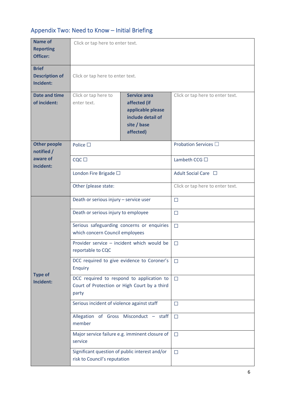## <span id="page-5-0"></span>Appendix Two: Need to Know – Initial Briefing

| <b>Name of</b><br><b>Reporting</b><br>Officer:     | Click or tap here to enter text.                                                                   |                                                                                                           |                                  |
|----------------------------------------------------|----------------------------------------------------------------------------------------------------|-----------------------------------------------------------------------------------------------------------|----------------------------------|
| <b>Brief</b><br><b>Description of</b><br>Incident: | Click or tap here to enter text.                                                                   |                                                                                                           |                                  |
| <b>Date and time</b><br>of incident:               | Click or tap here to<br>enter text.                                                                | <b>Service area</b><br>affected (if<br>applicable please<br>include detail of<br>site / base<br>affected) | Click or tap here to enter text. |
| <b>Other people</b><br>notified /                  | Police $\square$                                                                                   |                                                                                                           | Probation Services □             |
| aware of<br>incident:                              | $CQC \square$                                                                                      |                                                                                                           | Lambeth CCG $\Box$               |
|                                                    | London Fire Brigade □                                                                              |                                                                                                           | Adult Social Care □              |
|                                                    | Other (please state:                                                                               |                                                                                                           | Click or tap here to enter text. |
|                                                    | Death or serious injury - service user                                                             |                                                                                                           | $\Box$                           |
|                                                    | Death or serious injury to employee                                                                |                                                                                                           | $\Box$                           |
|                                                    | Serious safeguarding concerns or enquiries<br>which concern Council employees                      |                                                                                                           | $\Box$                           |
|                                                    | Provider service - incident which would be<br>reportable to CQC                                    |                                                                                                           | $\Box$                           |
| <b>Type of</b>                                     | DCC required to give evidence to Coroner's<br>Enquiry                                              |                                                                                                           | $\Box$                           |
| Incident:                                          | DCC required to respond to application to<br>Court of Protection or High Court by a third<br>party |                                                                                                           | $\Box$                           |
|                                                    | Serious incident of violence against staff                                                         |                                                                                                           | $\Box$                           |
|                                                    | Allegation of Gross Misconduct - staff<br>member                                                   |                                                                                                           | $\Box$                           |
|                                                    | Major service failure e.g. imminent closure of<br>service                                          |                                                                                                           | $\Box$                           |
|                                                    | Significant question of public interest and/or<br>risk to Council's reputation                     |                                                                                                           | $\Box$                           |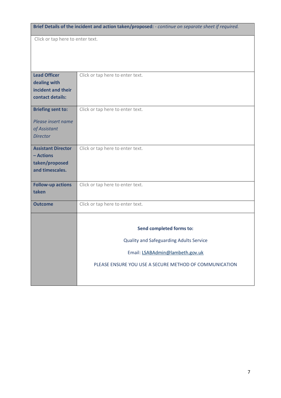**Brief Details of the incident and action taken/proposed:** - *continue on separate sheet if required.*  Click or tap here to enter text. **Lead Officer dealing with incident and their contact details:**  Click or tap here to enter text. **Briefing sent to:** *Please insert name of Assistant Director* Click or tap here to enter text. **Assistant Director – Actions taken/proposed and timescales.** Click or tap here to enter text. **Follow-up actions taken** Click or tap here to enter text. **Outcome** Click or tap here to enter text. **Send completed forms to:** Quality and Safeguarding Adults Service Email[: LSABAdmin@lambeth.gov.uk](mailto:LSABAdmin@lambeth.gov.uk) PLEASE ENSURE YOU USE A SECURE METHOD OF COMMUNICATION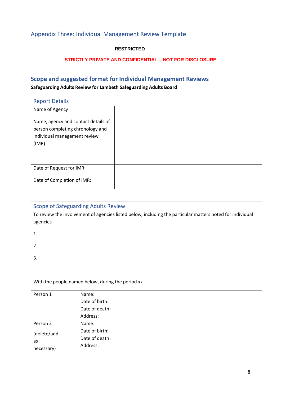## <span id="page-7-0"></span>Appendix Three: Individual Management Review Template

#### **RESTRICTED**

#### **STRICTLY PRIVATE AND CONFIDENTIAL – NOT FOR DISCLOSURE**

### **Scope and suggested format for Individual Management Reviews**

#### **Safeguarding Adults Review for Lambeth Safeguarding Adults Board**

| <b>Report Details</b>                                                                                             |  |
|-------------------------------------------------------------------------------------------------------------------|--|
| Name of Agency                                                                                                    |  |
| Name, agency and contact details of<br>person completing chronology and<br>individual management review<br>(IMR): |  |
|                                                                                                                   |  |
| Date of Request for IMR:                                                                                          |  |
| Date of Completion of IMR:                                                                                        |  |

| <b>Scope of Safeguarding Adults Review</b> |                                                                                                           |  |  |  |
|--------------------------------------------|-----------------------------------------------------------------------------------------------------------|--|--|--|
|                                            | To review the involvement of agencies listed below, including the particular matters noted for individual |  |  |  |
| agencies                                   |                                                                                                           |  |  |  |
| 1.                                         |                                                                                                           |  |  |  |
| 2.                                         |                                                                                                           |  |  |  |
| 3.                                         |                                                                                                           |  |  |  |
|                                            |                                                                                                           |  |  |  |
|                                            | With the people named below, during the period xx                                                         |  |  |  |
| Person 1                                   | Name:                                                                                                     |  |  |  |
|                                            | Date of birth:                                                                                            |  |  |  |
|                                            | Date of death:                                                                                            |  |  |  |
|                                            | Address:                                                                                                  |  |  |  |
| Person 2                                   | Name:                                                                                                     |  |  |  |
| (delete/add                                | Date of birth:                                                                                            |  |  |  |
| as                                         | Date of death:                                                                                            |  |  |  |
| necessary)                                 | Address:                                                                                                  |  |  |  |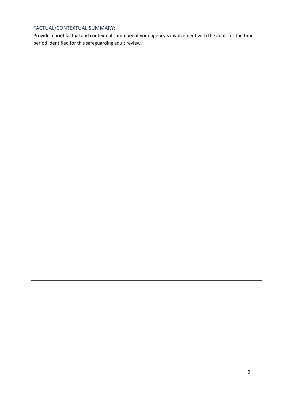#### FACTUAL/CONTEXTUAL SUMMARY:

Provide a brief factual and contextual summary of your agency's involvement with the adult for the time period identified for this safeguarding adult review.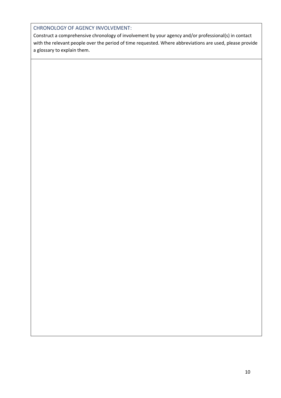#### CHRONOLOGY OF AGENCY INVOLVEMENT:

Construct a comprehensive chronology of involvement by your agency and/or professional(s) in contact with the relevant people over the period of time requested. Where abbreviations are used, please provide a glossary to explain them.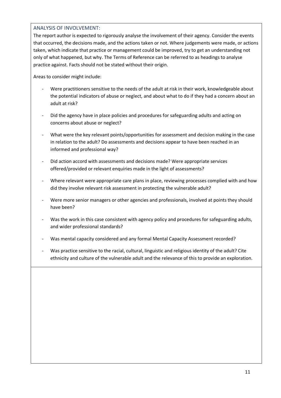#### ANALYSIS OF INVOLVEMENT:

The report author is expected to rigorously analyse the involvement of their agency. Consider the events that occurred, the decisions made, and the actions taken or not. Where judgements were made, or actions taken, which indicate that practice or management could be improved, try to get an understanding not only of what happened, but why. The Terms of Reference can be referred to as headings to analyse practice against. Facts should not be stated without their origin.

Areas to consider might include:

- Were practitioners sensitive to the needs of the adult at risk in their work, knowledgeable about the potential indicators of abuse or neglect, and about what to do if they had a concern about an adult at risk?
- Did the agency have in place policies and procedures for safeguarding adults and acting on concerns about abuse or neglect?
- What were the key relevant points/opportunities for assessment and decision making in the case in relation to the adult? Do assessments and decisions appear to have been reached in an informed and professional way?
- Did action accord with assessments and decisions made? Were appropriate services offered/provided or relevant enquiries made in the light of assessments?
- Where relevant were appropriate care plans in place, reviewing processes complied with and how did they involve relevant risk assessment in protecting the vulnerable adult?
- Were more senior managers or other agencies and professionals, involved at points they should have been?
- Was the work in this case consistent with agency policy and procedures for safeguarding adults, and wider professional standards?
- Was mental capacity considered and any formal Mental Capacity Assessment recorded?
- Was practice sensitive to the racial, cultural, linguistic and religious identity of the adult? Cite ethnicity and culture of the vulnerable adult and the relevance of this to provide an exploration.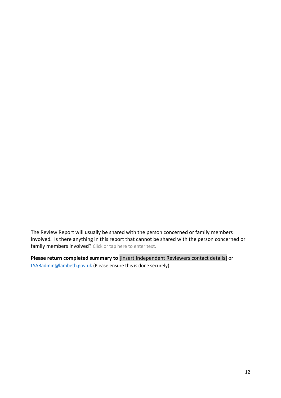The Review Report will usually be shared with the person concerned or family members involved. Is there anything in this report that cannot be shared with the person concerned or family members involved? Click or tap here to enter text.

**Please return completed summary to** [insert Independent Reviewers contact details] or [LSABadmin@lambeth.gov.uk](mailto:LSABadmin@lambeth.gov.uk) (Please ensure this is done securely).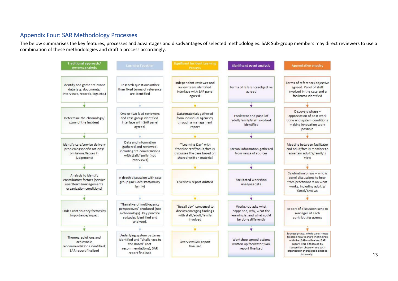#### Appendix Four: SAR Methodology Processes

The below summarises the key features, processes and advantages and disadvantages of selected methodologies. SAR Sub-group members may direct reviewers to use a combination of these methodologies and draft a process accordingly.

<span id="page-12-0"></span>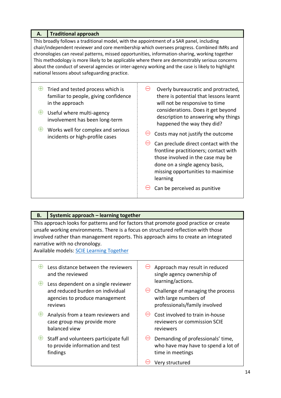| <b>Traditional approach</b><br>Α.                                                                                                                                                                                                                                                                                                                                                                                                                                                                                                              |                                                                                                                                                                                                                                                                                                                                                                                                                                                                                                          |  |  |
|------------------------------------------------------------------------------------------------------------------------------------------------------------------------------------------------------------------------------------------------------------------------------------------------------------------------------------------------------------------------------------------------------------------------------------------------------------------------------------------------------------------------------------------------|----------------------------------------------------------------------------------------------------------------------------------------------------------------------------------------------------------------------------------------------------------------------------------------------------------------------------------------------------------------------------------------------------------------------------------------------------------------------------------------------------------|--|--|
| This broadly follows a traditional model, with the appointment of a SAR panel, including<br>chair/independent reviewer and core membership which oversees progress. Combined IMRs and<br>chronologies can reveal patterns, missed opportunities, information-sharing, working together<br>This methodology is more likely to be applicable where there are demonstrably serious concerns<br>about the conduct of several agencies or inter-agency working and the case is likely to highlight<br>national lessons about safeguarding practice. |                                                                                                                                                                                                                                                                                                                                                                                                                                                                                                          |  |  |
| Ð<br>Tried and tested process which is<br>familiar to people, giving confidence<br>in the approach<br>$\oplus$<br>Useful where multi-agency<br>involvement has been long-term<br>Works well for complex and serious<br>incidents or high-profile cases                                                                                                                                                                                                                                                                                         | Overly bureaucratic and protracted,<br>there is potential that lessons learnt<br>will not be responsive to time<br>considerations. Does it get beyond<br>description to answering why things<br>happened the way they did?<br>Costs may not justify the outcome<br>Can preclude direct contact with the<br>frontline practitioners; contact with<br>those involved in the case may be<br>done on a single agency basis,<br>missing opportunities to maximise<br>learning<br>Can be perceived as punitive |  |  |

| Β.                                                                                                                                                                                                                                                                                                                                                    | Systemic approach - learning together                                                          |                                      |                                                                                              |  |
|-------------------------------------------------------------------------------------------------------------------------------------------------------------------------------------------------------------------------------------------------------------------------------------------------------------------------------------------------------|------------------------------------------------------------------------------------------------|--------------------------------------|----------------------------------------------------------------------------------------------|--|
| This approach looks for patterns and for factors that promote good practice or create<br>unsafe working environments. There is a focus on structured reflection with those<br>involved rather than management reports. This approach aims to create an integrated<br>narrative with no chronology.<br><b>Available models: SCIE Learning Together</b> |                                                                                                |                                      |                                                                                              |  |
|                                                                                                                                                                                                                                                                                                                                                       | Less distance between the reviewers<br>and the reviewed<br>Less dependent on a single reviewer |                                      | Approach may result in reduced<br>single agency ownership of<br>learning/actions.            |  |
|                                                                                                                                                                                                                                                                                                                                                       | and reduced burden on individual<br>agencies to produce management<br>reviews                  |                                      | Challenge of managing the process<br>with large numbers of<br>professionals/family involved  |  |
| $\oplus$                                                                                                                                                                                                                                                                                                                                              | Analysis from a team reviewers and<br>case group may provide more<br>balanced view             | $\left(\rightleftharpoondown\right)$ | Cost involved to train in-house<br>reviewers or commission SCIE<br>reviewers                 |  |
|                                                                                                                                                                                                                                                                                                                                                       | Staff and volunteers participate full<br>to provide information and test<br>findings           |                                      | Demanding of professionals' time,<br>who have may have to spend a lot of<br>time in meetings |  |
|                                                                                                                                                                                                                                                                                                                                                       |                                                                                                |                                      | Very structured                                                                              |  |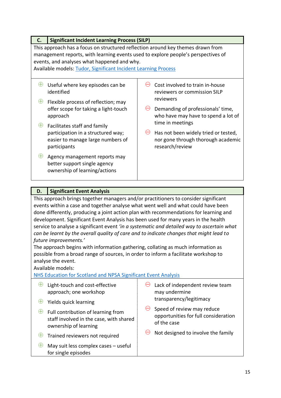| C.                                                                                                                                                                                                                                                                                    | <b>Significant Incident Learning Process (SILP)</b>                                                                     |  |                                                                                               |
|---------------------------------------------------------------------------------------------------------------------------------------------------------------------------------------------------------------------------------------------------------------------------------------|-------------------------------------------------------------------------------------------------------------------------|--|-----------------------------------------------------------------------------------------------|
| This approach has a focus on structured reflection around key themes drawn from<br>management reports, with learning events used to explore people's perspectives of<br>events, and analyses what happened and why.<br>Available models: Tudor, Significant Incident Learning Process |                                                                                                                         |  |                                                                                               |
| Ð<br>Ð                                                                                                                                                                                                                                                                                | Useful where key episodes can be<br>identified<br>Flexible process of reflection; may                                   |  | Cost involved to train in-house<br>reviewers or commission SILP<br>reviewers                  |
|                                                                                                                                                                                                                                                                                       | offer scope for taking a light-touch<br>approach                                                                        |  | Demanding of professionals' time,<br>who have may have to spend a lot of<br>time in meetings  |
|                                                                                                                                                                                                                                                                                       | Facilitates staff and family<br>participation in a structured way;<br>easier to manage large numbers of<br>participants |  | Has not been widely tried or tested,<br>nor gone through thorough academic<br>research/review |
|                                                                                                                                                                                                                                                                                       | Agency management reports may<br>better support single agency<br>ownership of learning/actions                          |  |                                                                                               |

#### **D. Significant Event Analysis**

This approach brings together managers and/or practitioners to consider significant events within a case and together analyse what went well and what could have been done differently, producing a joint action plan with recommendations for learning and development. Significant Event Analysis has been used for many years in the health service to analyse a significant event *'in a systematic and detailed way to ascertain what can be learnt by the overall quality of care and to indicate changes that might lead to future improvements.'* 

The approach begins with information gathering, collating as much information as possible from a broad range of sources, in order to inform a facilitate workshop to analyse the event.

Available models:

#### [NHS Education for Scotland and NPSA Significant Event Analysis](https://www.nes.scot.nhs.uk/media/346578/sea_-_full_guide_-_2011.pdf)

|          | Light-touch and cost-effective<br>approach; one workshop                                               | Lack of independent review team<br>may undermine                                  |
|----------|--------------------------------------------------------------------------------------------------------|-----------------------------------------------------------------------------------|
| Ð        | Yields quick learning                                                                                  | transparency/legitimacy                                                           |
| $\oplus$ | Full contribution of learning from<br>staff involved in the case, with shared<br>ownership of learning | Speed of review may reduce<br>opportunities for full consideration<br>of the case |
| $\oplus$ | Trained reviewers not required                                                                         | Not designed to involve the family                                                |
| $\oplus$ | May suit less complex cases - useful<br>for single episodes                                            |                                                                                   |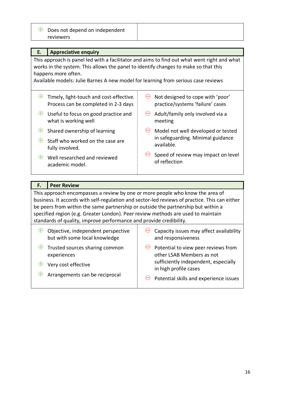| $\Theta$ Does not depend on independent |  |
|-----------------------------------------|--|
| reviewers                               |  |

| Е.                                                                                                                                                                                                                                                                                             | <b>Appreciative enquiry</b>                                                     |           |                                                                      |  |  |  |
|------------------------------------------------------------------------------------------------------------------------------------------------------------------------------------------------------------------------------------------------------------------------------------------------|---------------------------------------------------------------------------------|-----------|----------------------------------------------------------------------|--|--|--|
| This approach is panel led with a facilitator and aims to find out what went right and what<br>works in the system. This allows the panel to identify changes to make so that this<br>happens more often.<br>Available models: Julie Barnes A new model for learning from serious case reviews |                                                                                 |           |                                                                      |  |  |  |
| Œ                                                                                                                                                                                                                                                                                              | Timely, light-touch and cost-effective.<br>Process can be completed in 2-3 days | $\ominus$ | Not designed to cope with 'poor'<br>practice/systems 'failure' cases |  |  |  |
| $\oplus$                                                                                                                                                                                                                                                                                       | Useful to focus on good practice and<br>what is working well                    | $\ominus$ | Adult/family only involved via a<br>meeting                          |  |  |  |
|                                                                                                                                                                                                                                                                                                | Shared ownership of learning                                                    |           | Model not well developed or tested                                   |  |  |  |
|                                                                                                                                                                                                                                                                                                | Staff who worked on the case are<br>fully involved.                             |           | in safeguarding. Minimal guidance<br>available.                      |  |  |  |
| $\ominus$<br>Speed of review may impact on level<br>Well researched and reviewed<br>æ<br>of reflection<br>academic model.                                                                                                                                                                      |                                                                                 |           |                                                                      |  |  |  |
|                                                                                                                                                                                                                                                                                                |                                                                                 |           |                                                                      |  |  |  |

#### **F. Peer Review**

This approach encompasses a review by one or more people who know the area of business. It accords with self-regulation and sector-led reviews of practice. This can either be peers from within the same partnership or outside the partnership but within a specified region (e.g. Greater London). Peer review methods are used to maintain standards of quality, improve performance and provide credibility.

| Objective, independent perspective  | $\Theta$ Capacity issues may affect availability              |
|-------------------------------------|---------------------------------------------------------------|
| but with some local knowledge       | and responsiveness                                            |
| Trusted sources sharing common      | Potential to view peer reviews from                           |
| $\oplus$                            | $\ominus$                                                     |
| experiences                         | other LSAB Members as not                                     |
| Very cost effective                 | sufficiently independent, especially<br>in high profile cases |
| Arrangements can be reciprocal<br>Ð | Potential skills and experience issues                        |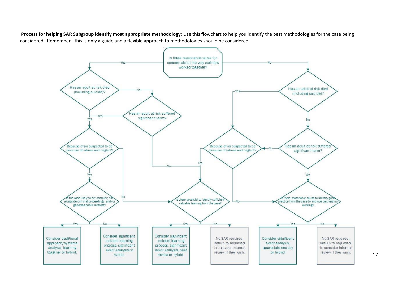**Process for helping SAR Subgroup identify most appropriate methodology:** Use this flowchart to help you identify the best methodologies for the case being considered. Remember - this is only a guide and a flexible approach to methodologies should be considered.

<span id="page-16-0"></span>

17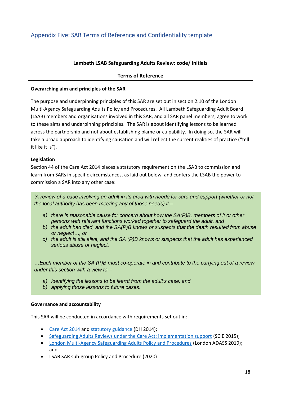#### **Lambeth LSAB Safeguarding Adults Review: code/ initials**

#### **Terms of Reference**

#### **Overarching aim and principles of the SAR**

The purpose and underpinning principles of this SAR are set out in section 2.10 of the London Multi-Agency Safeguarding Adults Policy and Procedures. All Lambeth Safeguarding Adult Board (LSAB) members and organisations involved in this SAR, and all SAR panel members, agree to work to these aims and underpinning principles. The SAR is about identifying lessons to be learned across the partnership and not about establishing blame or culpability. In doing so, the SAR will take a broad approach to identifying causation and will reflect the current realities of practice ("tell it like it is").

#### **Legislation**

Section 44 of the Care Act 2014 places a statutory requirement on the LSAB to commission and learn from SARs in specific circumstances, as laid out below, and confers the LSAB the power to commission a SAR into any other case:

*'A review of a case involving an adult in its area with needs for care and support (whether or not the local authority has been meeting any of those needs) if –*

- *a) there is reasonable cause for concern about how the SA(P)B, members of it or other persons with relevant functions worked together to safeguard the adult, and*
- *b) the adult had died, and the SA(P)B knows or suspects that the death resulted from abuse or neglect…, or*
- *c) the adult is still alive, and the SA (P)B knows or suspects that the adult has experienced serious abuse or neglect.*

*…Each member of the SA (P)B must co-operate in and contribute to the carrying out of a review under this section with a view to –*

- *a) identifying the lessons to be learnt from the adult's case, and*
- *b) applying those lessons to future cases.*

#### **Governance and accountability**

This SAR will be conducted in accordance with requirements set out in:

- [Care Act 2014](http://www.google.co.uk/url?sa=t&rct=j&q=&esrc=s&source=web&cd=1&cad=rja&uact=8&ved=0CDsQFjAAahUKEwjCmuik4ofGAhXoS9sKHUqtAII&url=http%3A%2F%2Fwww.legislation.gov.uk%2Fukpga%2F2014%2F23%2Fcontents%2Fenacted&ei=8I95VcLiKOiX7QbK2oKQCA&usg=AFQjCNGllCcgtGuvyoz9W9GiHGj8PIT-KQ&sig2=AKBFcoXdTIfRCboc0nGT7A&bvm=bv.95277229,d.bGg) and [statutory guidance](https://www.gov.uk/government/uploads/system/uploads/attachment_data/file/366104/43380_23902777_Care_Act_Book.pdf) (DH 2014);
- [Safeguarding Adults Reviews under the Care Act: implementation support](http://www.scie.org.uk/care-act-2014/safeguarding-adults/reviews/) (SCIE 2015);
- [London Multi-Agency Safeguarding Adults Policy and Procedures](https://londonadass.org.uk/wp-content/uploads/2019/05/2019.04.23-Review-of-the-Multi-Agency-Adult-Safeguarding-policy-and-procedures-2019-final-1-1.pdf) (London ADASS 2019); and
- LSAB SAR sub-group Policy and Procedure (2020)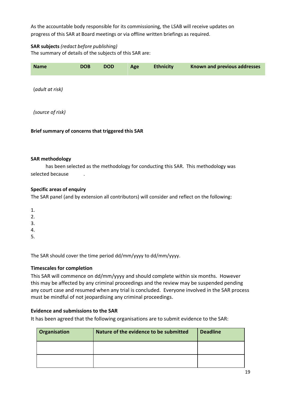As the accountable body responsible for its commissioning, the LSAB will receive updates on progress of this SAR at Board meetings or via offline written briefings as required.

#### **SAR subjects** *(redact before publishing)*

The summary of details of the subjects of this SAR are:

| <b>Name</b>                                       | <b>DOB</b> | <b>DOD</b> | Age | <b>Ethnicity</b> | Known and previous addresses |
|---------------------------------------------------|------------|------------|-----|------------------|------------------------------|
| (adult at risk)                                   |            |            |     |                  |                              |
| (source of risk)                                  |            |            |     |                  |                              |
| Brief summary of concerns that triggered this SAR |            |            |     |                  |                              |

#### **SAR methodology**

has been selected as the methodology for conducting this SAR. This methodology was selected because

#### **Specific areas of enquiry**

The SAR panel (and by extension all contributors) will consider and reflect on the following:

- 1.
- $\mathcal{L}$
- 3.
- 4.
- 5.

The SAR should cover the time period dd/mm/yyyy to dd/mm/yyyy.

#### **Timescales for completion**

This SAR will commence on dd/mm/yyyy and should complete within six months. However this may be affected by any criminal proceedings and the review may be suspended pending any court case and resumed when any trial is concluded. Everyone involved in the SAR process must be mindful of not jeopardising any criminal proceedings.

#### **Evidence and submissions to the SAR**

It has been agreed that the following organisations are to submit evidence to the SAR:

| Organisation | Nature of the evidence to be submitted | <b>Deadline</b> |
|--------------|----------------------------------------|-----------------|
|              |                                        |                 |
|              |                                        |                 |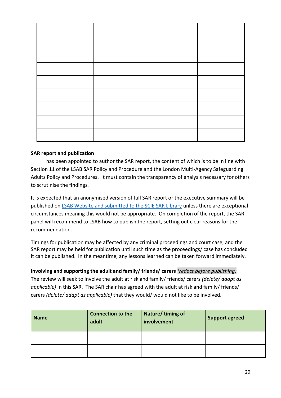#### **SAR report and publication**

has been appointed to author the SAR report, the content of which is to be in line with Section 11 of the LSAB SAR Policy and Procedure and the London Multi-Agency Safeguarding Adults Policy and Procedures. It must contain the transparency of analysis necessary for others to scrutinise the findings.

It is expected that an anonymised version of full SAR report or the executive summary will be published on LSAB [Website](https://www.lambethsab.org.uk/about-the-board#SARS) and submitted to the SCIE SAR Library unless there are exceptional circumstances meaning this would not be appropriate. On completion of the report, the SAR panel will recommend to LSAB how to publish the report, setting out clear reasons for the recommendation.

Timings for publication may be affected by any criminal proceedings and court case, and the SAR report may be held for publication until such time as the proceedings/ case has concluded it can be published. In the meantime, any lessons learned can be taken forward immediately.

#### **Involving and supporting the adult and family/ friends/ carers** *(redact before publishing)*

The review will seek to involve the adult at risk and family/ friends/ carers *(delete/ adapt as applicable)* in this SAR. The SAR chair has agreed with the adult at risk and family/ friends/ carers *(delete/ adapt as applicable)* that they would/ would not like to be involved.

| <b>Name</b> | <b>Connection to the</b><br>adult | Nature/timing of<br>involvement | <b>Support agreed</b> |
|-------------|-----------------------------------|---------------------------------|-----------------------|
|             |                                   |                                 |                       |
|             |                                   |                                 |                       |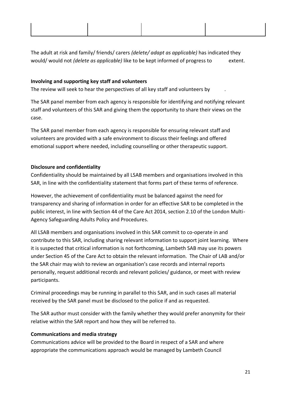The adult at risk and family/ friends/ carers *(delete/ adapt as applicable)* has indicated they would/ would not *(delete as applicable)* like to be kept informed of progress to extent.

#### **Involving and supporting key staff and volunteers**

The review will seek to hear the perspectives of all key staff and volunteers by .

The SAR panel member from each agency is responsible for identifying and notifying relevant staff and volunteers of this SAR and giving them the opportunity to share their views on the case.

The SAR panel member from each agency is responsible for ensuring relevant staff and volunteers are provided with a safe environment to discuss their feelings and offered emotional support where needed, including counselling or other therapeutic support.

#### **Disclosure and confidentiality**

Confidentiality should be maintained by all LSAB members and organisations involved in this SAR, in line with the confidentiality statement that forms part of these terms of reference.

However, the achievement of confidentiality must be balanced against the need for transparency and sharing of information in order for an effective SAR to be completed in the public interest, in line with Section 44 of the Care Act 2014, section 2.10 of the London Multi-Agency Safeguarding Adults Policy and Procedures.

All LSAB members and organisations involved in this SAR commit to co-operate in and contribute to this SAR, including sharing relevant information to support joint learning. Where it is suspected that critical information is not forthcoming, Lambeth SAB may use its powers under Section 45 of the Care Act to obtain the relevant information. The Chair of LAB and/or the SAR chair may wish to review an organisation's case records and internal reports personally, request additional records and relevant policies/ guidance, or meet with review participants.

Criminal proceedings may be running in parallel to this SAR, and in such cases all material received by the SAR panel must be disclosed to the police if and as requested.

The SAR author must consider with the family whether they would prefer anonymity for their relative within the SAR report and how they will be referred to.

#### **Communications and media strategy**

Communications advice will be provided to the Board in respect of a SAR and where appropriate the communications approach would be managed by Lambeth Council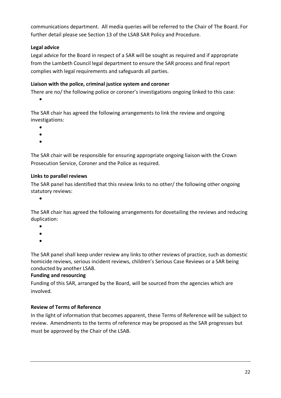communications department. All media queries will be referred to the Chair of The Board. For further detail please see Section 13 of the LSAB SAR Policy and Procedure.

#### **Legal advice**

Legal advice for the Board in respect of a SAR will be sought as required and if appropriate from the Lambeth Council legal department to ensure the SAR process and final report complies with legal requirements and safeguards all parties.

#### **Liaison with the police, criminal justice system and coroner**

There are no/ the following police or coroner's investigations ongoing linked to this case:

•

The SAR chair has agreed the following arrangements to link the review and ongoing investigations:

- •
- •
- •

The SAR chair will be responsible for ensuring appropriate ongoing liaison with the Crown Prosecution Service, Coroner and the Police as required.

#### **Links to parallel reviews**

The SAR panel has identified that this review links to no other/ the following other ongoing statutory reviews:

•

The SAR chair has agreed the following arrangements for dovetailing the reviews and reducing duplication:

- •
- •
- •

The SAR panel shall keep under review any links to other reviews of practice, such as domestic homicide reviews, serious incident reviews, children's Serious Case Reviews or a SAR being conducted by another LSAB.

#### **Funding and resourcing**

Funding of this SAR, arranged by the Board, will be sourced from the agencies which are involved.

#### **Review of Terms of Reference**

In the light of information that becomes apparent, these Terms of Reference will be subject to review. Amendments to the terms of reference may be proposed as the SAR progresses but must be approved by the Chair of the LSAB.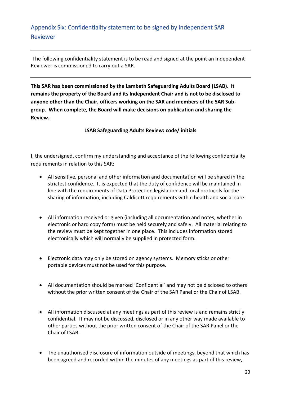## <span id="page-22-0"></span>Appendix Six: Confidentiality statement to be signed by independent SAR Reviewer

The following confidentiality statement is to be read and signed at the point an Independent Reviewer is commissioned to carry out a SAR.

**This SAR has been commissioned by the Lambeth Safeguarding Adults Board (LSAB). It remains the property of the Board and its Independent Chair and is not to be disclosed to anyone other than the Chair, officers working on the SAR and members of the SAR Subgroup. When complete, the Board will make decisions on publication and sharing the Review.**

**LSAB Safeguarding Adults Review: code/ initials**

I, the undersigned, confirm my understanding and acceptance of the following confidentiality requirements in relation to this SAR:

- All sensitive, personal and other information and documentation will be shared in the strictest confidence. It is expected that the duty of confidence will be maintained in line with the requirements of Data Protection legislation and local protocols for the sharing of information, including Caldicott requirements within health and social care.
- All information received or given (including all documentation and notes, whether in electronic or hard copy form) must be held securely and safely. All material relating to the review must be kept together in one place. This includes information stored electronically which will normally be supplied in protected form.
- Electronic data may only be stored on agency systems. Memory sticks or other portable devices must not be used for this purpose.
- All documentation should be marked 'Confidential' and may not be disclosed to others without the prior written consent of the Chair of the SAR Panel or the Chair of LSAB.
- All information discussed at any meetings as part of this review is and remains strictly confidential. It may not be discussed, disclosed or in any other way made available to other parties without the prior written consent of the Chair of the SAR Panel or the Chair of LSAB.
- The unauthorised disclosure of information outside of meetings, beyond that which has been agreed and recorded within the minutes of any meetings as part of this review,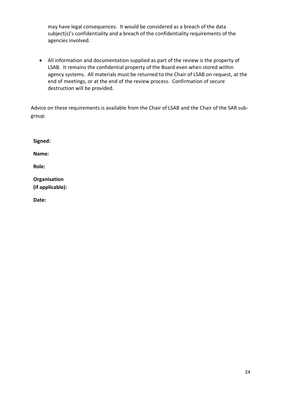may have legal consequences. It would be considered as a breach of the data subject(s)'s confidentiality and a breach of the confidentiality requirements of the agencies involved.

• All information and documentation supplied as part of the review is the property of LSAB. It remains the confidential property of the Board even when stored within agency systems. All materials must be returned to the Chair of LSAB on request, at the end of meetings, or at the end of the review process. Confirmation of secure destruction will be provided.

Advice on these requirements is available from the Chair of LSAB and the Chair of the SAR subgroup.

| Signed:                                 |  |
|-----------------------------------------|--|
| Name:                                   |  |
| <b>Role:</b>                            |  |
| <b>Organisation</b><br>(if applicable): |  |

**Date:**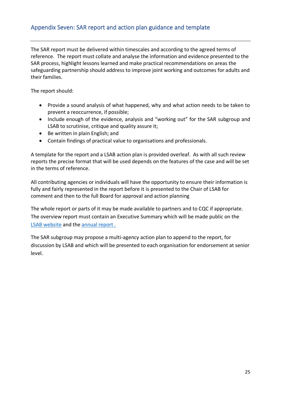#### <span id="page-24-0"></span>Appendix Seven: SAR report and action plan guidance and template

The SAR report must be delivered within timescales and according to the agreed terms of reference. The report must collate and analyse the information and evidence presented to the SAR process, highlight lessons learned and make practical recommendations on areas the safeguarding partnership should address to improve joint working and outcomes for adults and their families.

The report should:

- Provide a sound analysis of what happened, why and what action needs to be taken to prevent a reoccurrence, if possible;
- Include enough of the evidence, analysis and "working out" for the SAR subgroup and LSAB to scrutinise, critique and quality assure it;
- Be written in plain English; and
- Contain findings of practical value to organisations and professionals.

A template for the report and a LSAB action plan is provided overleaf. As with all such review reports the precise format that will be used depends on the features of the case and will be set in the terms of reference.

All contributing agencies or individuals will have the opportunity to ensure their information is fully and fairly represented in the report before it is presented to the Chair of LSAB for comment and then to the full Board for approval and action planning

The whole report or parts of it may be made available to partners and to CQC if appropriate. The overview report must contain an Executive Summary which will be made public on the [LSAB website](http://www.lambethsafeguarding.org.uk/) and the [annual](https://knowledgehub.local.gov.uk/) report .

The SAR subgroup may propose a multi-agency action plan to append to the report, for discussion by LSAB and which will be presented to each organisation for endorsement at senior level.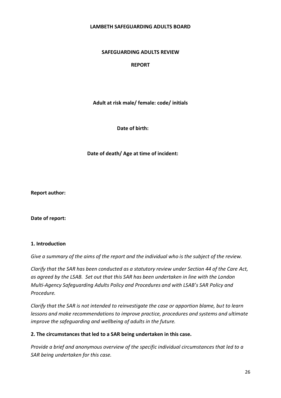#### **LAMBETH SAFEGUARDING ADULTS BOARD**

#### **SAFEGUARDING ADULTS REVIEW**

#### **REPORT**

**Adult at risk male/ female: code/ initials**

**Date of birth:** 

**Date of death/ Age at time of incident:** 

**Report author:** 

**Date of report:**

#### **1. Introduction**

*Give a summary of the aims of the report and the individual who is the subject of the review.*

*Clarify that the SAR has been conducted as a statutory review under Section 44 of the Care Act, as agreed by the LSAB. Set out that this SAR has been undertaken in line with the London Multi-Agency Safeguarding Adults Policy and Procedures and with LSAB's SAR Policy and Procedure.*

*Clarify that the SAR is not intended to reinvestigate the case or apportion blame, but to learn lessons and make recommendations to improve practice, procedures and systems and ultimate improve the safeguarding and wellbeing of adults in the future.* 

#### **2. The circumstances that led to a SAR being undertaken in this case.**

*Provide a brief and anonymous overview of the specific individual circumstances that led to a SAR being undertaken for this case.*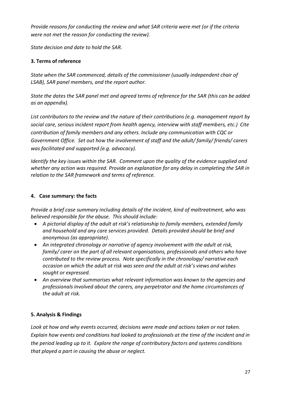*Provide reasons for conducting the review and what SAR criteria were met (or if the criteria were not met the reason for conducting the review).*

*State decision and date to hold the SAR.* 

#### **3. Terms of reference**

*State when the SAR commenced, details of the commissioner (usually independent chair of LSAB), SAR panel members, and the report author.*

*State the dates the SAR panel met and agreed terms of reference for the SAR (this can be added as an appendix).* 

*List contributors to the review and the nature of their contributions (e.g. management report by social care, serious incident report from health agency, interview with staff members, etc.) Cite contribution of family members and any others. Include any communication with CQC or Government Office. Set out how the involvement of staff and the adult/ family/ friends/ carers was facilitated and supported (e.g. advocacy).*

*Identify the key issues within the SAR. Comment upon the quality of the evidence supplied and whether any action was required. Provide an explanation for any delay in completing the SAR in relation to the SAR framework and terms of reference.* 

#### **4. Case summary: the facts**

*Provide a brief case summary including details of the incident, kind of maltreatment, who was believed responsible for the abuse. This should include:*

- *A pictorial display of the adult at risk's relationship to family members, extended family and household and any care services provided. Details provided should be brief and anonymous (as appropriate).*
- *An integrated chronology or narrative of agency involvement with the adult at risk, family/ carer on the part of all relevant organisations, professionals and others who have contributed to the review process. Note specifically in the chronology/ narrative each occasion on which the adult at risk was seen and the adult at risk's views and wishes sought or expressed.*
- *An overview that summarises what relevant information was known to the agencies and professionals involved about the carers, any perpetrator and the home circumstances of the adult at risk.*

#### **5. Analysis & Findings**

*Look at how and why events occurred, decisions were made and actions taken or not taken. Explain how events and conditions had looked to professionals at the time of the incident and in the period leading up to it. Explore the range of contributory factors and systems conditions that played a part in causing the abuse or neglect.*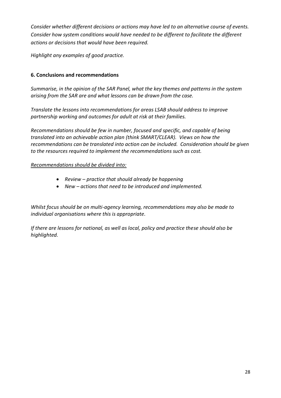*Consider whether different decisions or actions may have led to an alternative course of events. Consider how system conditions would have needed to be different to facilitate the different actions or decisions that would have been required.*

*Highlight any examples of good practice.*

#### **6. Conclusions and recommendations**

*Summarise, in the opinion of the SAR Panel, what the key themes and patterns in the system arising from the SAR are and what lessons can be drawn from the case.* 

*Translate the lessons into recommendations for areas LSAB should address to improve partnership working and outcomes for adult at risk at their families.* 

*Recommendations should be few in number, focused and specific, and capable of being translated into an achievable action plan (think SMART/CLEAR). Views on how the recommendations can be translated into action can be included. Consideration should be given to the resources required to implement the recommendations such as cost.* 

#### *Recommendations should be divided into:*

- *Review – practice that should already be happening*
- *New – actions that need to be introduced and implemented.*

*Whilst focus should be on multi-agency learning, recommendations may also be made to individual organisations where this is appropriate.* 

*If there are lessons for national, as well as local, policy and practice these should also be highlighted.*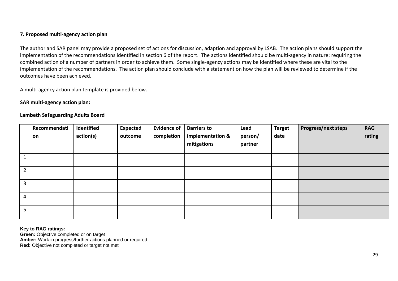#### **7. Proposed multi-agency action plan**

The author and SAR panel may provide a proposed set of actions for discussion, adaption and approval by LSAB. The action plans should support the implementation of the recommendations identified in section 6 of the report. The actions identified should be multi-agency in nature: requiring the combined action of a number of partners in order to achieve them. Some single-agency actions may be identified where these are vital to the implementation of the recommendations. The action plan should conclude with a statement on how the plan will be reviewed to determine if the outcomes have been achieved.

A multi-agency action plan template is provided below.

#### **SAR multi-agency action plan:**

#### **Lambeth Safeguarding Adults Board**

|                | Recommendati<br>on | Identified<br>action(s) | <b>Expected</b><br>outcome | <b>Evidence of</b><br>completion | <b>Barriers to</b><br>implementation &<br>mitigations | Lead<br>person/<br>partner | <b>Target</b><br>date | <b>Progress/next steps</b> | <b>RAG</b><br>rating |
|----------------|--------------------|-------------------------|----------------------------|----------------------------------|-------------------------------------------------------|----------------------------|-----------------------|----------------------------|----------------------|
|                |                    |                         |                            |                                  |                                                       |                            |                       |                            |                      |
| $2^{\circ}$    |                    |                         |                            |                                  |                                                       |                            |                       |                            |                      |
| $\mathbf{3}$   |                    |                         |                            |                                  |                                                       |                            |                       |                            |                      |
| $\overline{4}$ |                    |                         |                            |                                  |                                                       |                            |                       |                            |                      |
| 5 <sup>1</sup> |                    |                         |                            |                                  |                                                       |                            |                       |                            |                      |

**Key to RAG ratings: Green:** Objective completed or on target **Amber:** Work in progress/further actions planned or required **Red:** Objective not completed or target not met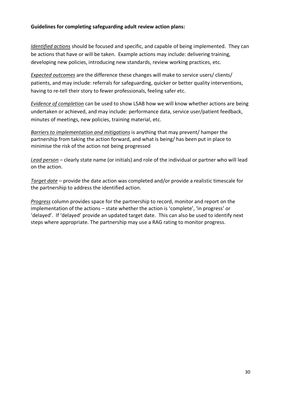#### **Guidelines for completing safeguarding adult review action plans:**

*Identified actions* should be focused and specific, and capable of being implemented. They can be actions that have or will be taken. Example actions may include: delivering training, developing new policies, introducing new standards, review working practices, etc.

*Expected outcomes* are the difference these changes will make to service users/ clients/ patients, and may include: referrals for safeguarding, quicker or better quality interventions, having to re-tell their story to fewer professionals, feeling safer etc.

*Evidence of completion* can be used to show LSAB how we will know whether actions are being undertaken or achieved, and may include: performance data, service user/patient feedback, minutes of meetings, new policies, training material, etc.

*Barriers to implementation and mitigations* is anything that may prevent/ hamper the partnership from taking the action forward, and what is being/ has been put in place to minimise the risk of the action not being progressed

*Lead person* – clearly state name (or initials) and role of the individual or partner who will lead on the action.

*Target date* – provide the date action was completed and/or provide a realistic timescale for the partnership to address the identified action.

*Progress* column provides space for the partnership to record, monitor and report on the implementation of the actions – state whether the action is 'complete', 'in progress' or 'delayed'. If 'delayed' provide an updated target date. This can also be used to identify next steps where appropriate. The partnership may use a RAG rating to monitor progress.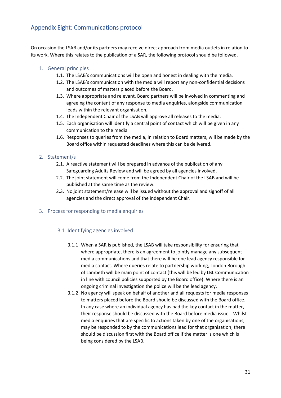#### <span id="page-30-0"></span>Appendix Eight: Communications protocol

On occasion the LSAB and/or its partners may receive direct approach from media outlets in relation to its work. Where this relates to the publication of a SAR, the following protocol should be followed.

#### 1. General principles

- 1.1. The LSAB's communications will be open and honest in dealing with the media.
- 1.2. The LSAB's communication with the media will report any non-confidential decisions and outcomes of matters placed before the Board.
- 1.3. Where appropriate and relevant, Board partners will be involved in commenting and agreeing the content of any response to media enquiries, alongside communication leads within the relevant organisation.
- 1.4. The Independent Chair of the LSAB will approve all releases to the media.
- 1.5. Each organisation will identify a central point of contact which will be given in any communication to the media
- 1.6. Responses to queries from the media, in relation to Board matters, will be made by the Board office within requested deadlines where this can be delivered.

#### 2. Statement/s

- 2.1. A reactive statement will be prepared in advance of the publication of any Safeguarding Adults Review and will be agreed by all agencies involved.
- 2.2. The joint statement will come from the Independent Chair of the LSAB and will be published at the same time as the review.
- 2.3. No joint statement/release will be issued without the approval and signoff of all agencies and the direct approval of the independent Chair.

#### 3. Process for responding to media enquiries

#### 3.1 Identifying agencies involved

- 3.1.1 When a SAR is published, the LSAB will take responsibility for ensuring that where appropriate, there is an agreement to jointly manage any subsequent media communications and that there will be one lead agency responsible for media contact. Where queries relate to partnership working, London Borough of Lambeth will be main point of contact (this will be led by LBL Communication in line with council policies supported by the Board office). Where there is an ongoing criminal investigation the police will be the lead agency.
- 3.1.2 No agency will speak on behalf of another and all requests for media responses to matters placed before the Board should be discussed with the Board office. In any case where an individual agency has had the key contact in the matter, their response should be discussed with the Board before media issue. Whilst media enquiries that are specific to actions taken by one of the organisations, may be responded to by the communications lead for that organisation, there should be discussion first with the Board office if the matter is one which is being considered by the LSAB.